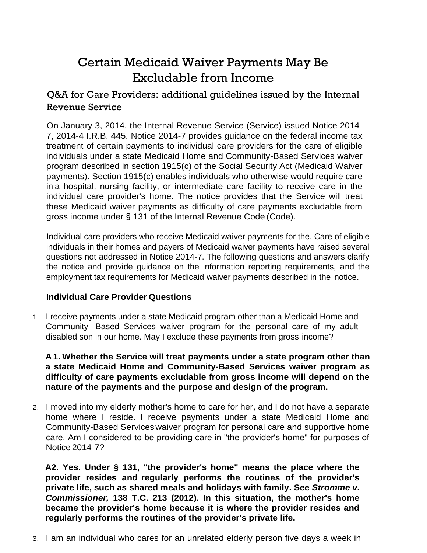# Certain Medicaid Waiver Payments May Be Excludable from Income

Q&A for Care Providers: additional guidelines issued by the Internal Revenue Service

On January 3, 2014, the Internal Revenue Service (Service) issued Notice 2014- 7, 2014-4 I.R.B. 445. Notice 2014-7 provides guidance on the federal income tax treatment of certain payments to individual care providers for the care of eligible individuals under a state Medicaid Home and Community-Based Services waiver program described in section 1915(c) of the Social Security Act (Medicaid Waiver payments). Section 1915(c) enables individuals who otherwise would require care in a hospital, nursing facility, or intermediate care facility to receive care in the individual care provider's home. The notice provides that the Service will treat these Medicaid waiver payments as difficulty of care payments excludable from gross income under § 131 of the Internal Revenue Code (Code).

Individual care providers who receive Medicaid waiver payments for the. Care of eligible individuals in their homes and payers of Medicaid waiver payments have raised several questions not addressed in Notice 2014-7. The following questions and answers clarify the notice and provide guidance on the information reporting requirements, and the employment tax requirements for Medicaid waiver payments described in the notice.

## **Individual Care Provider Questions**

1. I receive payments under a state Medicaid program other than a Medicaid Home and Community- Based Services waiver program for the personal care of my adult disabled son in our home. May I exclude these payments from gross income?

**A 1. Whether the Service will treat payments under a state program other than a state Medicaid Home and Community-Based Services waiver program as difficulty of care payments excludable from gross income will depend on the nature of the payments and the purpose and design of the program.**

2. I moved into my elderly mother's home to care for her, and I do not have a separate home where I reside. I receive payments under a state Medicaid Home and Community-Based Serviceswaiver program for personal care and supportive home care. Am I considered to be providing care in "the provider's home" for purposes of Notice 2014-7?

**A2. Yes. Under § 131, "the provider's home" means the place where the provider resides and regularly performs the routines of the provider's private life, such as shared meals and holidays with family. See** *Stromme v. Commissioner,* **138 T.C. 213 (2012). In this situation, the mother's home became the provider's home because it is where the provider resides and regularly performs the routines of the provider's private life.**

3. I am an individual who cares for an unrelated elderly person five days a week in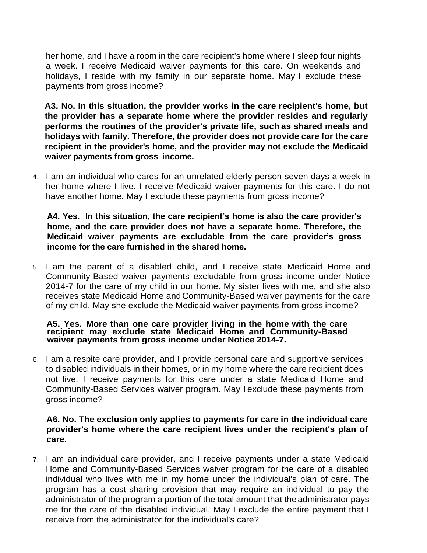her home, and I have a room in the care recipient's home where I sleep four nights a week. I receive Medicaid waiver payments for this care. On weekends and holidays, I reside with my family in our separate home. May I exclude these payments from gross income?

**A3. No. In this situation, the provider works in the care recipient's home, but the provider has a separate home where the provider resides and regularly performs the routines of the provider's private life, such as shared meals and holidays with family. Therefore, the provider does not provide care for the care recipient in the provider's home, and the provider may not exclude the Medicaid waiver payments from gross income.**

4. I am an individual who cares for an unrelated elderly person seven days a week in her home where I live. I receive Medicaid waiver payments for this care. I do not have another home. May I exclude these payments from gross income?

**A4. Yes. In this situation, the care recipient's home is also the care provider's home, and the care provider does not have a separate home. Therefore, the Medicaid waiver payments are excludable from the care provider's gross income for the care furnished in the shared home.**

5. I am the parent of a disabled child, and I receive state Medicaid Home and Community-Based waiver payments excludable from gross income under Notice 2014-7 for the care of my child in our home. My sister lives with me, and she also receives state Medicaid Home and Community-Based waiver payments for the care of my child. May she exclude the Medicaid waiver payments from gross income?

#### **A5. Yes. More than one care provider living in the home with the care recipient may exclude state Medicaid Home and Community-Based waiver payments from gross income under Notice 2014-7.**

6. I am a respite care provider, and I provide personal care and supportive services to disabled individuals in their homes, or in my home where the care recipient does not live. I receive payments for this care under a state Medicaid Home and Community-Based Services waiver program. May I exclude these payments from gross income?

### **A6. No. The exclusion only applies to payments for care in the individual care provider's home where the care recipient lives under the recipient's plan of care.**

7. I am an individual care provider, and I receive payments under a state Medicaid Home and Community-Based Services waiver program for the care of a disabled individual who lives with me in my home under the individual's plan of care. The program has a cost-sharing provision that may require an individual to pay the administrator of the program a portion of the total amount that the administrator pays me for the care of the disabled individual. May I exclude the entire payment that I receive from the administrator for the individual's care?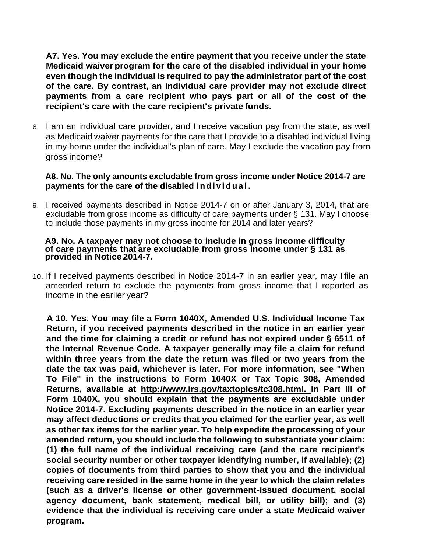**A7. Yes. You may exclude the entire payment that you receive under the state Medicaid waiver program for the care of the disabled individual in your home even though the individual is required to pay the administrator part of the cost of the care. By contrast, an individual care provider may not exclude direct payments from a care recipient who pays part or all of the cost of the recipient's care with the care recipient's private funds.**

8. I am an individual care provider, and I receive vacation pay from the state, as well as Medicaid waiver payments for the care that I provide to a disabled individual living in my home under the individual's plan of care. May I exclude the vacation pay from gross income?

#### **A8. No. The only amounts excludable from gross income under Notice 2014-7 are payments for the care of the disabled i n d i vi d u a l .**

9. I received payments described in Notice 2014-7 on or after January 3, 2014, that are excludable from gross income as difficulty of care payments under § 131. May I choose to include those payments in my gross income for 2014 and later years?

#### **A9. No. A taxpayer may not choose to include in gross income difficulty of care payments that are excludable from gross income under § 131 as provided in Notice 2014-7.**

10. If I received payments described in Notice 2014-7 in an earlier year, may I file an amended return to exclude the payments from gross income that I reported as income in the earlier year?

**A 10. Yes. You may file a Form 1040X, Amended U.S. Individual Income Tax Return, if you received payments described in the notice in an earlier year and the time for claiming a credit or refund has not expired under § 6511 of the Internal Revenue Code. A taxpayer generally may file a claim for refund within three years from the date the return was filed or two years from the date the tax was paid, whichever is later. For more information, see "When To File" in the instructions to Form 1040X or Tax Topic 308, Amended Returns, available at [http://www.irs.gov/taxtopics/tc308.html. I](http://www.irs.gov/taxtopics/tc308.html)n Part Ill of Form 1040X, you should explain that the payments are excludable under Notice 2014-7. Excluding payments described in the notice in an earlier year may affect deductions or credits that you claimed for the earlier year, as well as other tax items for the earlier year. To help expedite the processing of your amended return, you should include the following to substantiate your claim: (1) the full name of the individual receiving care (and the care recipient's social security number or other taxpayer identifying number, if available); (2) copies of documents from third parties to show that you and the individual receiving care resided in the same home in the year to which the claim relates (such as a driver's license or other government-issued document, social agency document, bank statement, medical bill, or utility bill); and (3) evidence that the individual is receiving care under a state Medicaid waiver program.**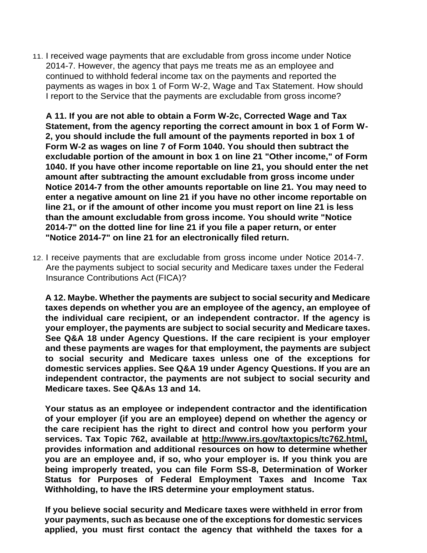11. I received wage payments that are excludable from gross income under Notice 2014-7. However, the agency that pays me treats me as an employee and continued to withhold federal income tax on the payments and reported the payments as wages in box 1 of Form W-2, Wage and Tax Statement. How should I report to the Service that the payments are excludable from gross income?

**A 11. If you are not able to obtain a Form W-2c, Corrected Wage and Tax Statement, from the agency reporting the correct amount in box 1 of Form W-2, you should include the full amount of the payments reported in box 1 of Form W-2 as wages on line 7 of Form 1040. You should then subtract the excludable portion of the amount in box 1 on line 21 "Other income," of Form 1040. If you have other income reportable on line 21, you should enter the net amount after subtracting the amount excludable from gross income under Notice 2014-7 from the other amounts reportable on line 21. You may need to enter a negative amount on line 21 if you have no other income reportable on line 21, or if the amount of other income you must report on line 21 is less than the amount excludable from gross income. You should write "Notice 2014-7" on the dotted line for line 21 if you file a paper return, or enter "Notice 2014-7" on line 21 for an electronically filed return.**

12. I receive payments that are excludable from gross income under Notice 2014-7. Are the payments subject to social security and Medicare taxes under the Federal Insurance Contributions Act (FICA)?

**A 12. Maybe. Whether the payments are subject to social security and Medicare taxes depends on whether you are an employee of the agency, an employee of the individual care recipient, or an independent contractor. If the agency is your employer, the payments are subject to social security and Medicare taxes. See Q&A 18 under Agency Questions. If the care recipient is your employer and these payments are wages for that employment, the payments are subject to social security and Medicare taxes unless one of the exceptions for domestic services applies. See Q&A 19 under Agency Questions. If you are an independent contractor, the payments are not subject to social security and Medicare taxes. See Q&As 13 and 14.**

**Your status as an employee or independent contractor and the identification of your employer (if you are an employee) depend on whether the agency or the care recipient has the right to direct and control how you perform your services. Tax Topic 762, available at [http://www.irs.gov/taxtopics/tc762.html,](http://www.irs.gov/taxtopics/tc762.html)  provides information and additional resources on how to determine whether you are an employee and, if so, who your employer is. If you think you are being improperly treated, you can file Form SS-8, Determination of Worker Status for Purposes of Federal Employment Taxes and Income Tax Withholding, to have the IRS determine your employment status.**

**If you believe social security and Medicare taxes were withheld in error from your payments, such as because one of the exceptions for domestic services applied, you must first contact the agency that withheld the taxes for a**